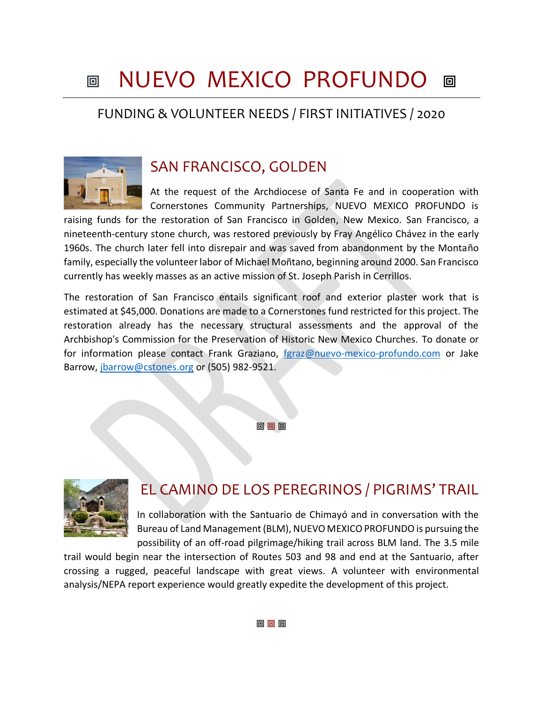# **MUEVO MEXICO PROFUNDO 回**

#### FUNDING & VOLUNTEER NEEDS / FIRST INITIATIVES / 2020



## SAN FRANCISCO, GOLDEN

At the request of the Archdiocese of Santa Fe and in cooperation with Cornerstones Community Partnerships, NUEVO MEXICO PROFUNDO is

raising funds for the restoration of San Francisco in Golden, New Mexico. San Francisco, a nineteenth-century stone church, was restored previously by Fray Angélico Chávez in the early 1960s. The church later fell into disrepair and was saved from abandonment by the Montaño family, especially the volunteer labor of Michael Moñtano, beginning around 2000. San Francisco currently has weekly masses as an active mission of St. Joseph Parish in Cerrillos.

The restoration of San Francisco entails significant roof and exterior plaster work that is estimated at \$45,000. Donations are made to a Cornerstones fund restricted for this project. The restoration already has the necessary structural assessments and the approval of the Archbishop's Commission for the Preservation of Historic New Mexico Churches. To donate or for information please contact Frank Graziano, [fgraz@nuevo-mexico-profundo.com](mailto:fgraz@nuevo-mexico-profundo.com) or Jake Barrow, [jbarrow@cstones.org](mailto:jbarrow@cstones.org) or (505) 982-9521.

回回回



## EL CAMINO DE LOS PEREGRINOS / PIGRIMS' TRAIL

In collaboration with the Santuario de Chimayó and in conversation with the Bureau of Land Management (BLM), NUEVO MEXICO PROFUNDO is pursuing the possibility of an off-road pilgrimage/hiking trail across BLM land. The 3.5 mile

trail would begin near the intersection of Routes 503 and 98 and end at the Santuario, after crossing a rugged, peaceful landscape with great views. A volunteer with environmental analysis/NEPA report experience would greatly expedite the development of this project.